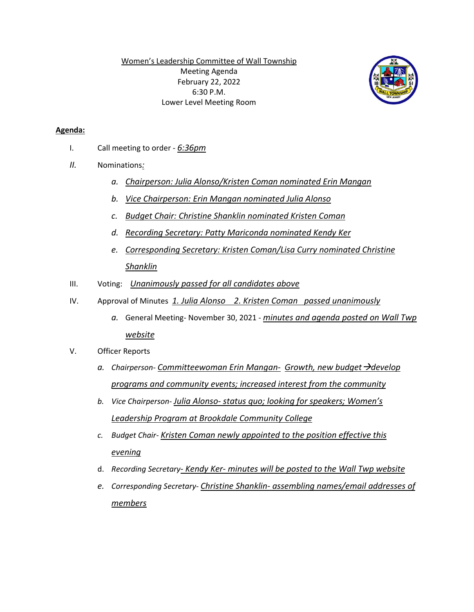Women's Leadership Committee of Wall Township Meeting Agenda February 22, 2022 6:30 P.M. Lower Level Meeting Room



## **Agenda:**

- I. Call meeting to order *6:36pm*
- *II.* Nominations*:* 
	- *a. Chairperson: Julia Alonso/Kristen Coman nominated Erin Mangan*
	- *b. Vice Chairperson: Erin Mangan nominated Julia Alonso*
	- *c. Budget Chair: Christine Shanklin nominated Kristen Coman*
	- *d. Recording Secretary: Patty Mariconda nominated Kendy Ker*
	- *e. Corresponding Secretary: Kristen Coman/Lisa Curry nominated Christine Shanklin*
- III. Voting: *Unanimously passed for all candidates above*
- IV. Approval of Minutes *1. Julia Alonso 2. Kristen Coman passed unanimously*
	- *a.* General Meeting- November 30, 2021 *minutes and agenda posted on Wall Twp website*
- V. Officer Reports
	- *a. Chairperson- Committeewoman Erin Mangan- Growth, new budget*  $\rightarrow$  *develop programs and community events; increased interest from the community*
	- *b. Vice Chairperson- Julia Alonso- status quo; looking for speakers; Women's Leadership Program at Brookdale Community College*
	- *c. Budget Chair- Kristen Coman newly appointed to the position effective this evening*
	- d. *Recording Secretary- Kendy Ker- minutes will be posted to the Wall Twp website*
	- *e. Corresponding Secretary- Christine Shanklin- assembling names/email addresses of members*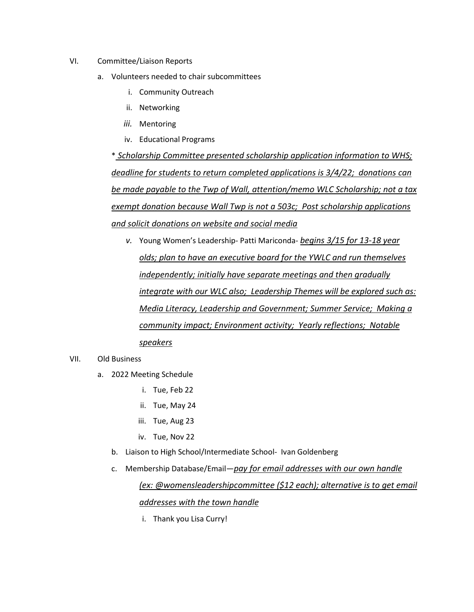- VI. Committee/Liaison Reports
	- a. Volunteers needed to chair subcommittees
		- i. Community Outreach
		- ii. Networking
		- *iii.* Mentoring
		- iv. Educational Programs

\* *Scholarship Committee presented scholarship application information to WHS; deadline for students to return completed applications is 3/4/22; donations can be made payable to the Twp of Wall, attention/memo WLC Scholarship; not a tax exempt donation because Wall Twp is not a 503c; Post scholarship applications and solicit donations on website and social media*

*v.* Young Women's Leadership- Patti Mariconda- *begins 3/15 for 13-18 year olds; plan to have an executive board for the YWLC and run themselves independently; initially have separate meetings and then gradually integrate with our WLC also; Leadership Themes will be explored such as: Media Literacy, Leadership and Government; Summer Service; Making a community impact; Environment activity; Yearly reflections; Notable speakers*

## VII. Old Business

- a. 2022 Meeting Schedule
	- i. Tue, Feb 22
	- ii. Tue, May 24
	- iii. Tue, Aug 23
	- iv. Tue, Nov 22
	- b. Liaison to High School/Intermediate School- Ivan Goldenberg
	- c. Membership Database/Email*—pay for email addresses with our own handle (ex: @womensleadershipcommittee (\$12 each); alternative is to get email*

## *addresses with the town handle*

i. Thank you Lisa Curry!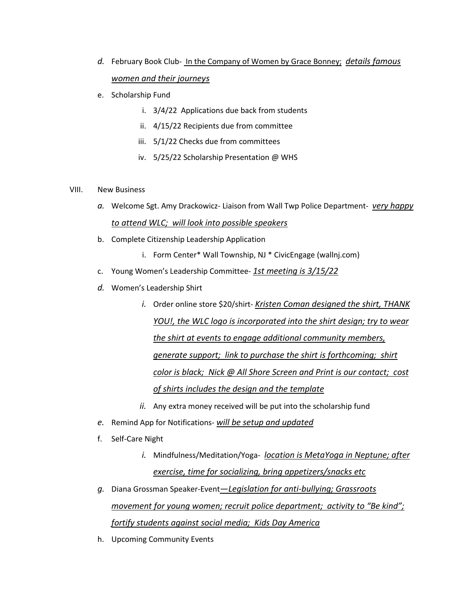- *d.* February Book Club- In the Company of Women by Grace Bonney; *details famous women and their journeys*
- e. Scholarship Fund
	- i. 3/4/22 Applications due back from students
	- ii. 4/15/22 Recipients due from committee
	- iii. 5/1/22 Checks due from committees
	- iv. 5/25/22 Scholarship Presentation @ WHS

## VIII. New Business

- *a.* Welcome Sgt. Amy Drackowicz- Liaison from Wall Twp Police Department- *very happy to attend WLC; will look into possible speakers*
- b. Complete Citizenship Leadership Application
	- i. Form Center\* Wall Township, NJ \* CivicEngage (wallnj.com)
- c. Young Women's Leadership Committee- *1st meeting is 3/15/22*
- *d.* Women's Leadership Shirt
	- *i.* Order online store \$20/shirt- *Kristen Coman designed the shirt, THANK YOU!, the WLC logo is incorporated into the shirt design; try to wear the shirt at events to engage additional community members, generate support; link to purchase the shirt is forthcoming; shirt color is black; Nick @ All Shore Screen and Print is our contact; cost of shirts includes the design and the template*
	- *ii.* Any extra money received will be put into the scholarship fund
- *e.* Remind App for Notifications- *will be setup and updated*
- f. Self-Care Night
	- *i.* Mindfulness/Meditation/Yoga- *location is MetaYoga in Neptune; after exercise, time for socializing, bring appetizers/snacks etc*
- *g.* Diana Grossman Speaker-Event*—Legislation for anti-bullying; Grassroots movement for young women; recruit police department; activity to "Be kind"; fortify students against social media; Kids Day America*
- h. Upcoming Community Events